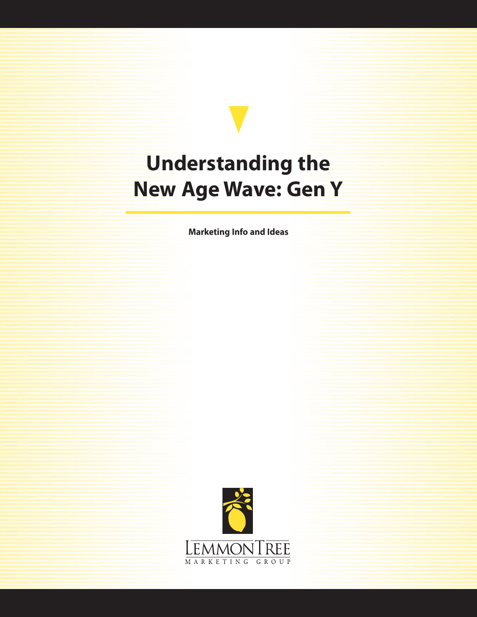## **Understanding the New Age Wave: Gen Y**

**Marketing Info and Ideas**

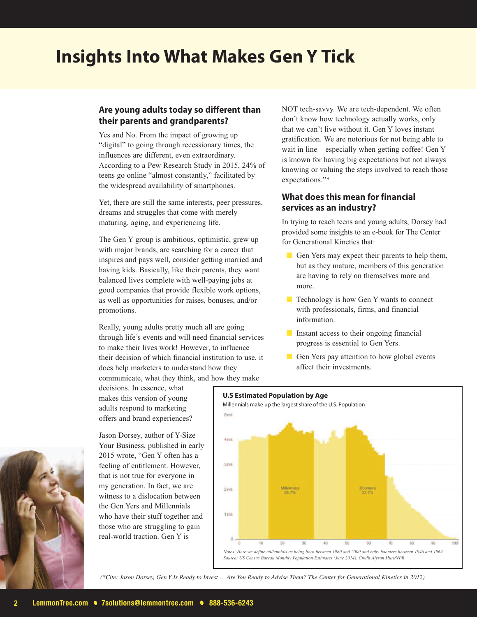### **Insights Into What Makes Gen Y Tick**

#### **Are young adults today so different than their parents and grandparents?**

Yes and No. From the impact of growing up "digital" to going through recessionary times, the influences are different, even extraordinary. According to a Pew Research Study in 2015, 24% of teens go online "almost constantly," facilitated by the widespread availability of smartphones.

Yet, there are still the same interests, peer pressures, dreams and struggles that come with merely maturing, aging, and experiencing life.

The Gen Y group is ambitious, optimistic, grew up with major brands, are searching for a career that inspires and pays well, consider getting married and having kids. Basically, like their parents, they want balanced lives complete with well-paying jobs at good companies that provide flexible work options, as well as opportunities for raises, bonuses, and/or promotions.

Really, young adults pretty much all are going through life's events and will need financial services to make their lives work! However, to influence their decision of which financial institution to use, it does help marketers to understand how they communicate, what they think, and how they make

decisions. In essence, what makes this version of young adults respond to marketing offers and brand experiences?

Jason Dorsey, author of Y-Size Your Business, published in early 2015 wrote, "Gen Y often has a feeling of entitlement. However, that is not true for everyone in my generation. In fact, we are witness to a dislocation between the Gen Yers and Millennials who have their stuff together and those who are struggling to gain real-world traction. Gen Y is

NOT tech-savvy. We are tech-dependent. We often don't know how technology actually works, only that we can't live without it. Gen Y loves instant gratification. We are notorious for not being able to wait in line – especially when getting coffee! Gen Y is known for having big expectations but not always knowing or valuing the steps involved to reach those expectations."\*

#### **What does this mean for financial services as an industry?**

In trying to reach teens and young adults, Dorsey had provided some insights to an e-book for The Center for Generational Kinetics that:

- Gen Yers may expect their parents to help them, but as they mature, members of this generation are having to rely on themselves more and more.
- Technology is how Gen Y wants to connect with professionals, firms, and financial information.
- Instant access to their ongoing financial progress is essential to Gen Yers.
- Gen Yers pay attention to how global events affect their investments.





(\*Cite: Jason Dorsey, Gen Y Is Ready to Invest ... Are You Ready to Advise Them? The Center for Generational Kinetics in 2012)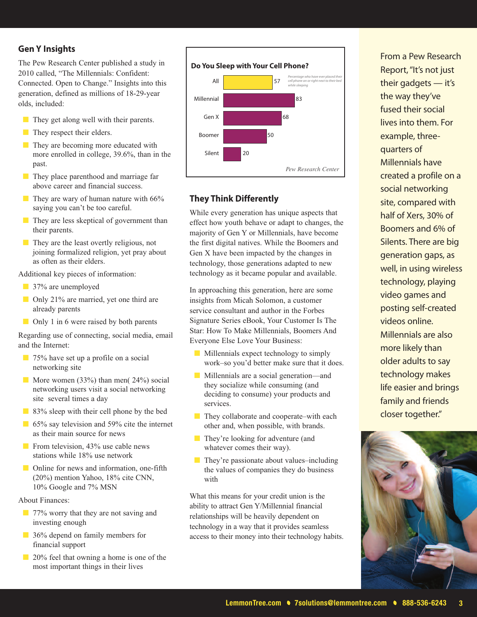#### **Gen Y Insights**

The Pew Research Center published a study in 2010 called, "The Millennials: Confident: Connected. Open to Change." Insights into this generation, defined as millions of 18-29-year olds, included:

- They get along well with their parents.
- They respect their elders.
- They are becoming more educated with more enrolled in college, 39.6%, than in the past.
- They place parenthood and marriage far above career and financial success.
- They are wary of human nature with 66% saying you can't be too careful.
- They are less skeptical of government than their parents.
- They are the least overtly religious, not joining formalized religion, yet pray about as often as their elders.

Additional key pieces of information:

- 37% are unemployed
- Only 21% are married, yet one third are already parents
- Only 1 in 6 were raised by both parents

Regarding use of connecting, social media, email and the Internet:

- 75% have set up a profile on a social networking site
- More women (33%) than men( 24%) social networking users visit a social networking site several times a day
- 83% sleep with their cell phone by the bed
- 65% say television and 59% cite the internet as their main source for news
- From television, 43% use cable news stations while 18% use network
- Online for news and information, one-fifth (20%) mention Yahoo, 18% cite CNN, 10% Google and 7% MSN

About Finances:

- 77% worry that they are not saving and investing enough
- 36% depend on family members for financial support
- 20% feel that owning a home is one of the most important things in their lives



#### **They Think Differently**

While every generation has unique aspects that effect how youth behave or adapt to changes, the majority of Gen Y or Millennials, have become the first digital natives. While the Boomers and Gen X have been impacted by the changes in technology, those generations adapted to new technology as it became popular and available.

In approaching this generation, here are some insights from Micah Solomon, a customer service consultant and author in the Forbes Signature Series eBook, Your Customer Is The Star: How To Make Millennials, Boomers And Everyone Else Love Your Business:

- Millennials expect technology to simply work–so you'd better make sure that it does.
- Millennials are a social generation—and they socialize while consuming (and deciding to consume) your products and services.
- They collaborate and cooperate–with each other and, when possible, with brands.
- They're looking for adventure (and whatever comes their way).
- They're passionate about values–including the values of companies they do business with

What this means for your credit union is the ability to attract Gen Y/Millennial financial relationships will be heavily dependent on technology in a way that it provides seamless access to their money into their technology habits.

From a Pew Research Report,"It's not just their gadgets — it's the way they've fused their social lives into them. For example, threequarters of Millennials have created a profile on a social networking site, compared with half of Xers, 30% of Boomers and 6% of Silents. There are big generation gaps, as well, in using wireless technology, playing video games and posting self-created videos online. Millennials are also more likely than older adults to say technology makes life easier and brings family and friends closer together."

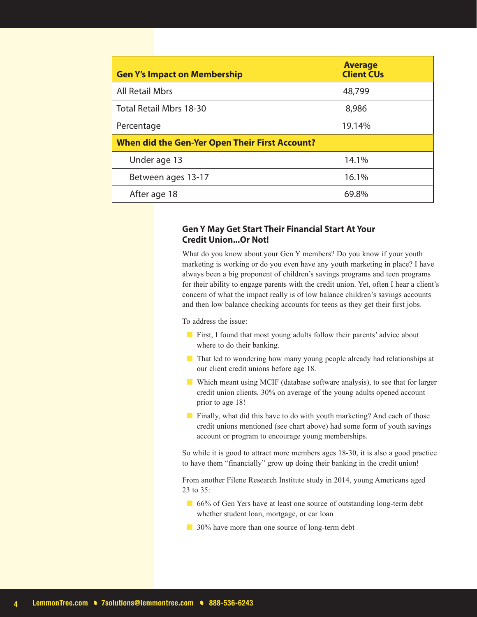| <b>Gen Y's Impact on Membership</b>                   | <b>Average</b><br><b>Client CUs</b> |
|-------------------------------------------------------|-------------------------------------|
| <b>All Retail Mbrs</b>                                | 48,799                              |
| Total Retail Mbrs 18-30                               | 8,986                               |
| Percentage                                            | 19.14%                              |
| <b>When did the Gen-Yer Open Their First Account?</b> |                                     |
| Under age 13                                          | 14.1%                               |
| Between ages 13-17                                    | 16.1%                               |
| After age 18                                          | 69.8%                               |

#### **Gen Y May Get Start Their Financial Start At Your Credit Union...Or Not!**

What do you know about your Gen Y members? Do you know if your youth marketing is working or do you even have any youth marketing in place? I have always been a big proponent of children's savings programs and teen programs for their ability to engage parents with the credit union. Yet, often I hear a client's concern of what the impact really is of low balance children's savings accounts and then low balance checking accounts for teens as they get their first jobs.

To address the issue:

- First, I found that most young adults follow their parents' advice about where to do their banking.
- That led to wondering how many young people already had relationships at our client credit unions before age 18.
- Which meant using MCIF (database software analysis), to see that for larger credit union clients, 30% on average of the young adults opened account prior to age 18!
- Finally, what did this have to do with youth marketing? And each of those credit unions mentioned (see chart above) had some form of youth savings account or program to encourage young memberships.

So while it is good to attract more members ages 18-30, it is also a good practice to have them "financially" grow up doing their banking in the credit union!

From another Filene Research Institute study in 2014, young Americans aged 23 to 35:

- 66% of Gen Yers have at least one source of outstanding long-term debt whether student loan, mortgage, or car loan
- 30% have more than one source of long-term debt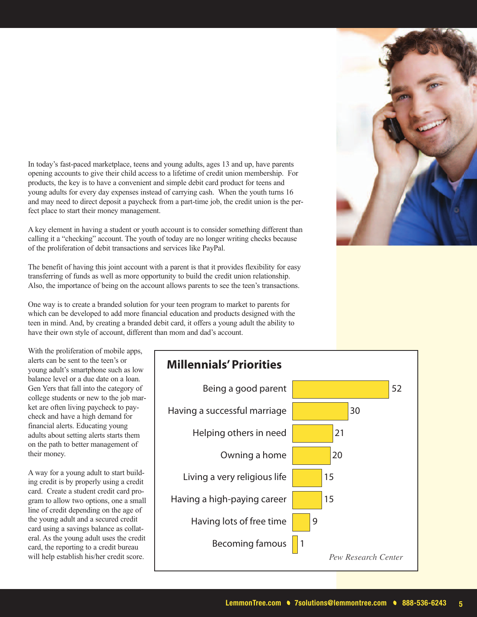In today's fast-paced marketplace, teens and young adults, ages 13 and up, have parents opening accounts to give their child access to a lifetime of credit union membership. For products, the key is to have a convenient and simple debit card product for teens and young adults for every day expenses instead of carrying cash. When the youth turns 16 and may need to direct deposit a paycheck from a part-time job, the credit union is the perfect place to start their money management.

A key element in having a student or youth account is to consider something different than calling it a "checking" account. The youth of today are no longer writing checks because of the proliferation of debit transactions and services like PayPal.

The benefit of having this joint account with a parent is that it provides flexibility for easy transferring of funds as well as more opportunity to build the credit union relationship. Also, the importance of being on the account allows parents to see the teen's transactions.

One way is to create a branded solution for your teen program to market to parents for which can be developed to add more financial education and products designed with the teen in mind. And, by creating a branded debit card, it offers a young adult the ability to have their own style of account, different than mom and dad's account.

With the proliferation of mobile apps, alerts can be sent to the teen's or young adult's smartphone such as low balance level or a due date on a loan. Gen Yers that fall into the category of college students or new to the job market are often living paycheck to paycheck and have a high demand for financial alerts. Educating young adults about setting alerts starts them on the path to better management of their money.

A way for a young adult to start building credit is by properly using a credit card. Create a student credit card program to allow two options, one a small line of credit depending on the age of the young adult and a secured credit card using a savings balance as collateral. As the young adult uses the credit card, the reporting to a credit bureau will help establish his/her credit score.

# **Millennials'Priorities** Being a good parent **62 and 52**



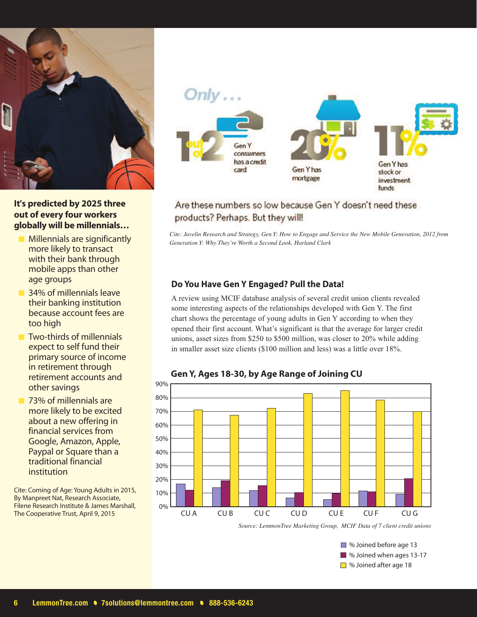

#### **It's predicted by 2025 three out of every four workers globally will be millennials…**

- **Millennials are significantly** more likely to transact with their bank through mobile apps than other age groups
- 34% of millennials leave their banking institution because account fees are too high
- Two-thirds of millennials expect to self fund their primary source of income in retirement through retirement accounts and other savings
- 73% of millennials are more likely to be excited about a new offering in financial services from Google, Amazon, Apple, Paypal or Square than a traditional financial institution

Cite: Coming of Age: Young Adults in 2015, By Manpreet Nat, Research Associate, Filene Research Institute & James Marshall, The Cooperative Trust, April 9, 2015



#### Are these numbers so low because Gen Y doesn't need these products? Perhaps. But they will!

Cite: Javelin Research and Strategy, Gen Y: How to Engage and Service the New Mobile Generation, 2012 from *Generation Y: Why They're Worth a Second Look, Harland Clark*

#### **Do You Have Gen Y Engaged? Pull the Data!**

A review using MCIF database analysis of several credit union clients revealed some interesting aspects of the relationships developed with Gen Y. The first chart shows the percentage of young adults in Gen Y according to when they opened their first account. What's significant is that the average for larger credit unions, asset sizes from \$250 to \$500 million, was closer to 20% while adding in smaller asset size clients (\$100 million and less) was a little over 18%.



#### **Gen Y, Ages 18-30, by Age Range of Joining CU**

*Source: LemmonTree Marketing Group, MCIF Data of 7 client credit unions*

■ % Joined before age 13 ■ % Joined when ages 13-17 ■ % Joined after age 18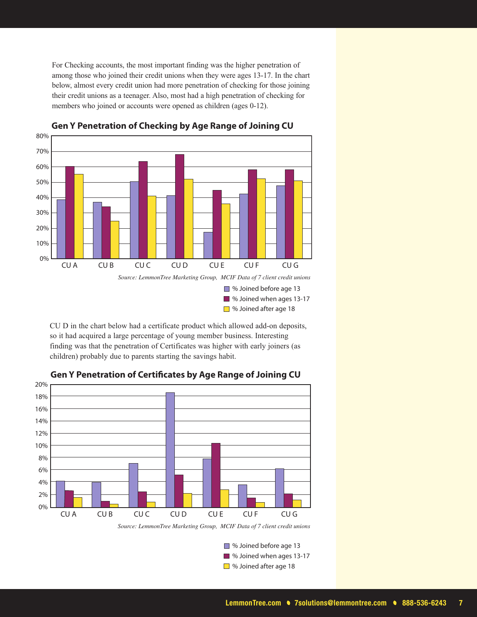For Checking accounts, the most important finding was the higher penetration of among those who joined their credit unions when they were ages 13-17. In the chart below, almost every credit union had more penetration of checking for those joining their credit unions as a teenager. Also, most had a high penetration of checking for members who joined or accounts were opened as children (ages 0-12).



**Gen Y Penetration of Checking by Age Range of Joining CU**

CU D in the chart below had a certificate product which allowed add-on deposits, so it had acquired a large percentage of young member business. Interesting finding was that the penetration of Certificates was higher with early joiners (as children) probably due to parents starting the savings habit.



#### **Gen Y Penetration of Certicates by Age Range of Joining CU**

*Source: LemmonTree Marketing Group, MCIF Data of 7 client credit unions*

■ % Joined before age 13 ■ % Joined when ages 13-17 ■ % Joined after age 18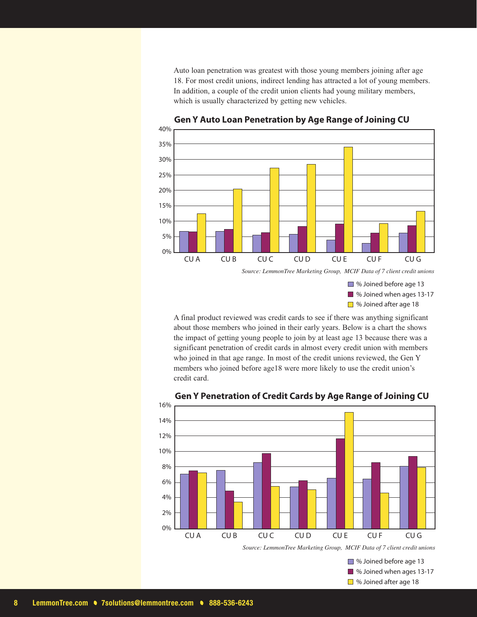Auto loan penetration was greatest with those young members joining after age 18. For most credit unions, indirect lending has attracted a lot of young members. In addition, a couple of the credit union clients had young military members, which is usually characterized by getting new vehicles.



#### **Gen Y Auto Loan Penetration by Age Range of Joining CU**

■ % Joined before age 13 ■ % Joined when ages 13-17 ■ % Joined after age 18

A final product reviewed was credit cards to see if there was anything significant about those members who joined in their early years. Below is a chart the shows the impact of getting young people to join by at least age 13 because there was a significant penetration of credit cards in almost every credit union with members who joined in that age range. In most of the credit unions reviewed, the Gen Y members who joined before age18 were more likely to use the credit union's credit card.



#### **Gen Y Penetration of Credit Cards by Age Range of Joining CU**

*Source: LemmonTree Marketing Group, MCIF Data of 7 client credit unions*

■ % Joined before age 13 ■ % Joined when ages 13-17 ■ % Joined after age 18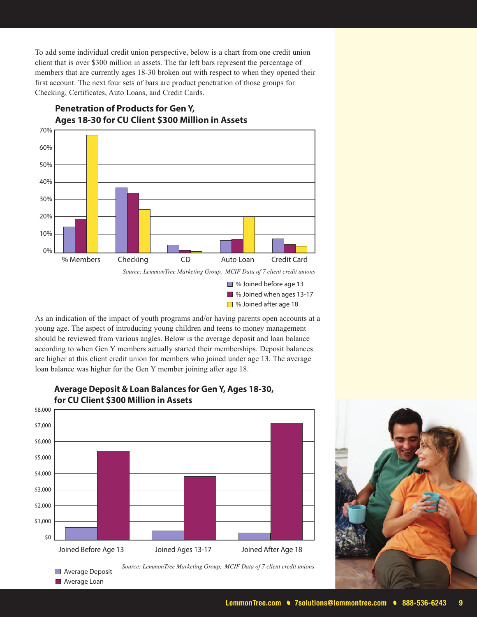To add some individual credit union perspective, below is a chart from one credit union client that is over \$300 million in assets. The far left bars represent the percentage of members that are currently ages 18-30 broken out with respect to when they opened their first account. The next four sets of bars are product penetration of those groups for Checking, Certificates, Auto Loans, and Credit Cards.



**Penetration of Products for Gen Y, Ages 18-30 for CU Client \$300 Million in Assets**

As an indication of the impact of youth programs and/or having parents open accounts at a young age. The aspect of introducing young children and teens to money management should be reviewed from various angles. Below is the average deposit and loan balance according to when Gen Y members actually started their memberships. Deposit balances are higher at this client credit union for members who joined under age 13. The average loan balance was higher for the Gen Y member joining after age 18.



**Average Deposit Average Loan** 

#### **Average Deposit & Loan Balances for Gen Y, Ages 18-30, for CU Client \$300 Million in Assets**

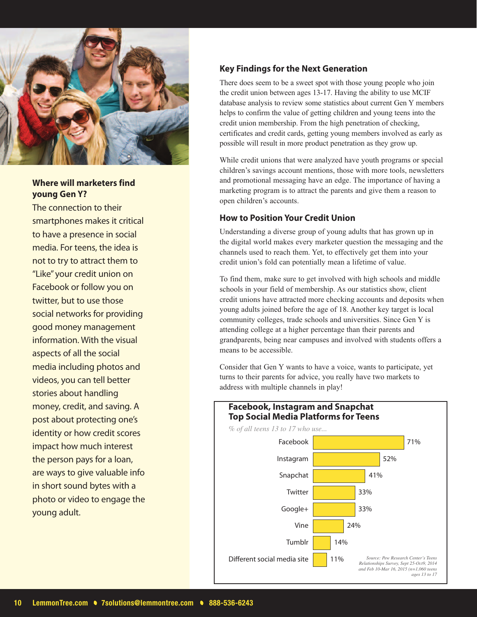

#### **Where will marketers find young Gen Y?**

The connection to their smartphones makes it critical to have a presence in social media. For teens, the idea is not to try to attract them to "Like" your credit union on Facebook or follow you on twitter, but to use those social networks for providing good money management information. With the visual aspects of all the social media including photos and videos, you can tell better stories about handling money, credit, and saving. A post about protecting one's identity or how credit scores impact how much interest the person pays for a loan, are ways to give valuable info in short sound bytes with a photo or video to engage the young adult.

#### **Key Findings for the Next Generation**

There does seem to be a sweet spot with those young people who join the credit union between ages 13-17. Having the ability to use MCIF database analysis to review some statistics about current Gen Y members helps to confirm the value of getting children and young teens into the credit union membership. From the high penetration of checking, certificates and credit cards, getting young members involved as early as possible will result in more product penetration as they grow up.

While credit unions that were analyzed have youth programs or special children's savings account mentions, those with more tools, newsletters and promotional messaging have an edge. The importance of having a marketing program is to attract the parents and give them a reason to open children's accounts.

#### **How to Position Your Credit Union**

Understanding a diverse group of young adults that has grown up in the digital world makes every marketer question the messaging and the channels used to reach them. Yet, to effectively get them into your credit union's fold can potentially mean a lifetime of value.

To find them, make sure to get involved with high schools and middle schools in your field of membership. As our statistics show, client credit unions have attracted more checking accounts and deposits when young adults joined before the age of 18. Another key target is local community colleges, trade schools and universities. Since Gen Y is attending college at a higher percentage than their parents and grandparents, being near campuses and involved with students offers a means to be accessible.

Consider that Gen Y wants to have a voice, wants to participate, yet turns to their parents for advice, you really have two markets to address with multiple channels in play!

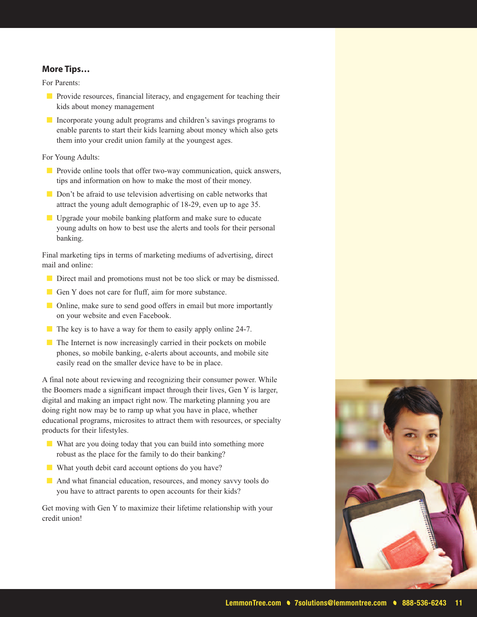#### **More Tips…**

For Parents:

- Provide resources, financial literacy, and engagement for teaching their kids about money management
- Incorporate young adult programs and children's savings programs to enable parents to start their kids learning about money which also gets them into your credit union family at the youngest ages.

For Young Adults:

- Provide online tools that offer two-way communication, quick answers, tips and information on how to make the most of their money.
- Don't be afraid to use television advertising on cable networks that attract the young adult demographic of 18-29, even up to age 35.
- Upgrade your mobile banking platform and make sure to educate young adults on how to best use the alerts and tools for their personal banking.

Final marketing tips in terms of marketing mediums of advertising, direct mail and online:

- Direct mail and promotions must not be too slick or may be dismissed.
- Gen Y does not care for fluff, aim for more substance.
- Online, make sure to send good offers in email but more importantly on your website and even Facebook.
- The key is to have a way for them to easily apply online 24-7.
- The Internet is now increasingly carried in their pockets on mobile phones, so mobile banking, e-alerts about accounts, and mobile site easily read on the smaller device have to be in place.

A final note about reviewing and recognizing their consumer power. While the Boomers made a significant impact through their lives, Gen Y is larger, digital and making an impact right now. The marketing planning you are doing right now may be to ramp up what you have in place, whether educational programs, microsites to attract them with resources, or specialty products for their lifestyles.

- What are you doing today that you can build into something more robust as the place for the family to do their banking?
- What youth debit card account options do you have?
- And what financial education, resources, and money savvy tools do you have to attract parents to open accounts for their kids?

Get moving with Gen Y to maximize their lifetime relationship with your credit union!